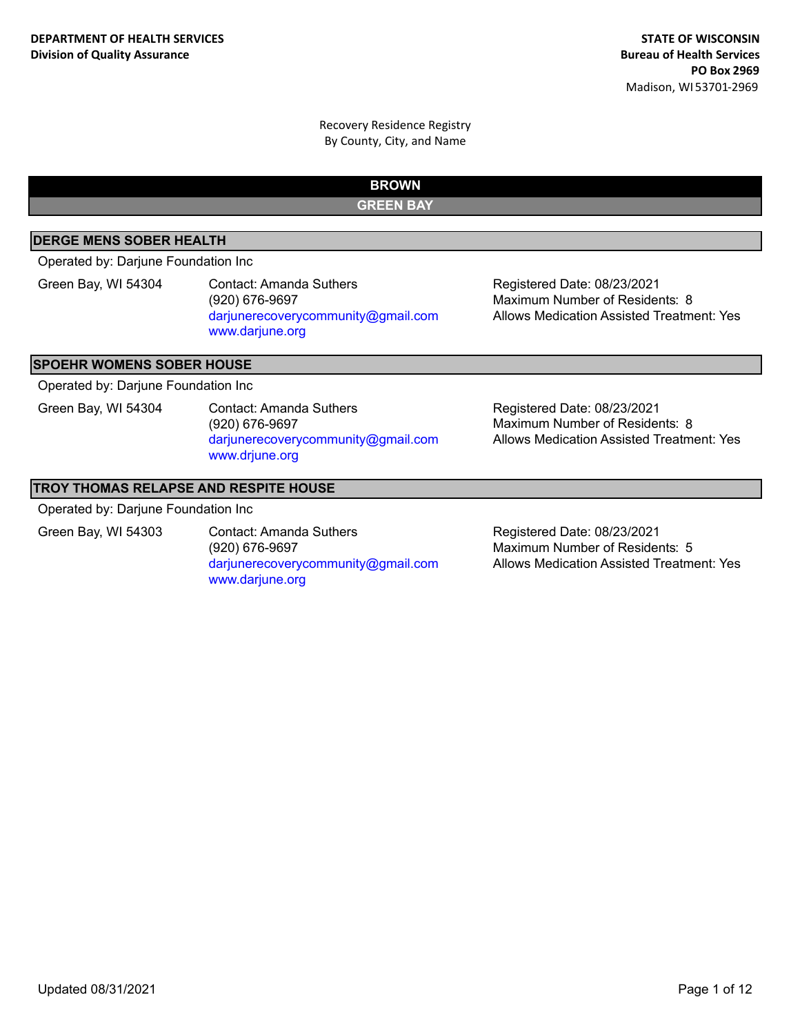**BROWN**

**GREEN BAY**

## **DERGE MENS SOBER HEALTH**

Operated by: Darjune Foundation Inc

Green Bay, WI 54304 Contact: Amanda Suthers (920) 676-9697 darjunerecoverycommunity@gmail.com www.darjune.org

Registered Date: 08/23/2021 Allows Medication Assisted Treatment: Yes Maximum Number of Residents: 8

#### **SPOEHR WOMENS SOBER HOUSE**

Operated by: Darjune Foundation Inc

Green Bay, WI 54304 Contact: Amanda Suthers (920) 676-9697 darjunerecoverycommunity@gmail.com www.drjune.org

Registered Date: 08/23/2021 Allows Medication Assisted Treatment: Yes Maximum Number of Residents: 8

#### **TROY THOMAS RELAPSE AND RESPITE HOUSE**

Operated by: Darjune Foundation Inc

Green Bay, WI 54303 Contact: Amanda Suthers (920) 676-9697 darjunerecoverycommunity@gmail.com www.darjune.org

Registered Date: 08/23/2021 Allows Medication Assisted Treatment: Yes Maximum Number of Residents: 5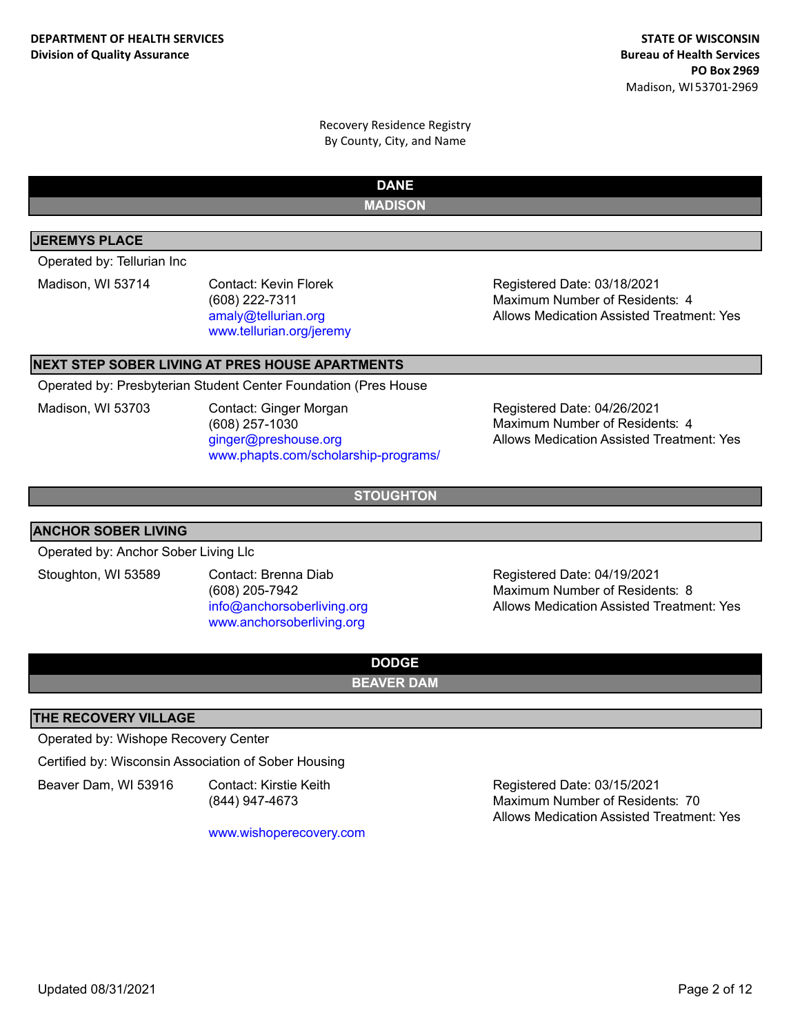**DANE**

## **MADISON**

## **JEREMYS PLACE**

Operated by: Tellurian Inc

Madison, WI 53714 Contact: Kevin Florek (608) 222-7311 amaly@tellurian.org www.tellurian.org/jeremy

Registered Date: 03/18/2021 Allows Medication Assisted Treatment: Yes Maximum Number of Residents: 4

## **NEXT STEP SOBER LIVING AT PRES HOUSE APARTMENTS**

Operated by: Presbyterian Student Center Foundation (Pres House

Madison, WI 53703 Contact: Ginger Morgan (608) 257-1030 ginger@preshouse.org www.phapts.com/scholarship-programs/

Registered Date: 04/26/2021 Allows Medication Assisted Treatment: Yes Maximum Number of Residents: 4

**STOUGHTON**

## **ANCHOR SOBER LIVING**

Operated by: Anchor Sober Living Llc

Stoughton, WI 53589 Contact: Brenna Diab (608) 205-7942 info@anchorsoberliving.org www.anchorsoberliving.org

Registered Date: 04/19/2021 Allows Medication Assisted Treatment: Yes Maximum Number of Residents: 8

# **DODGE**

**BEAVER DAM**

## **THE RECOVERY VILLAGE**

Operated by: Wishope Recovery Center

Certified by: Wisconsin Association of Sober Housing

Beaver Dam, WI 53916 Contact: Kirstie Keith

(844) 947-4673

www.wishoperecovery.com

Registered Date: 03/15/2021 Allows Medication Assisted Treatment: Yes Maximum Number of Residents: 70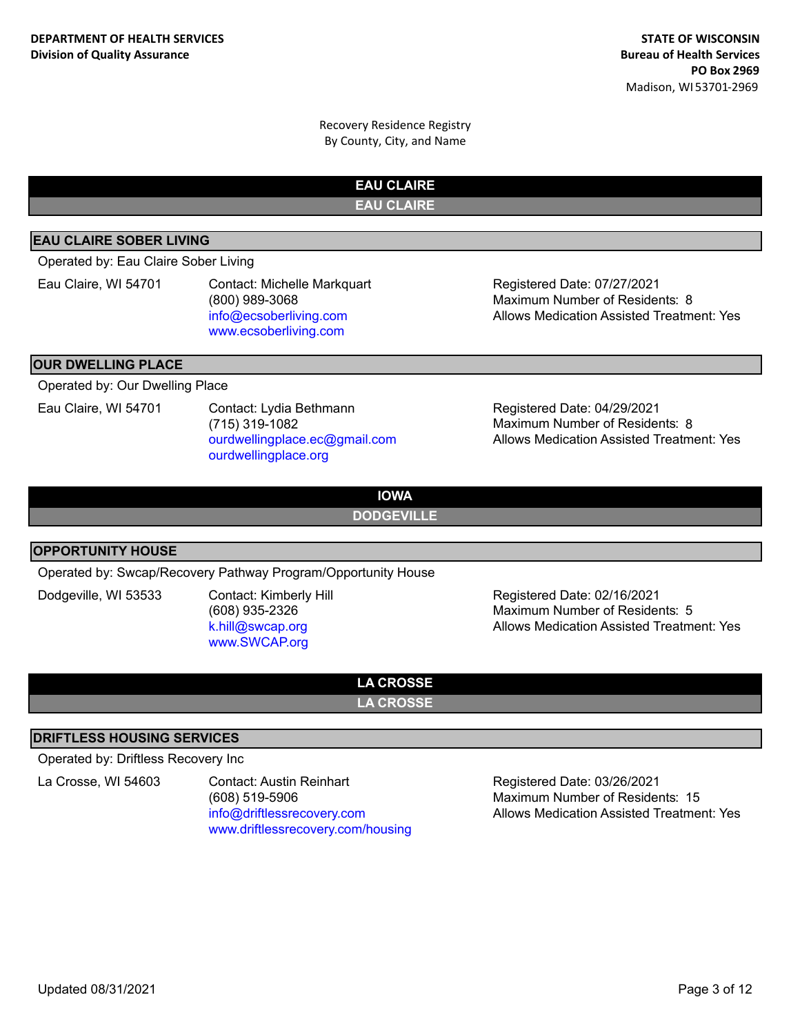> **EAU CLAIRE EAU CLAIRE**

## **EAU CLAIRE SOBER LIVING**

Operated by: Eau Claire Sober Living

Eau Claire, WI 54701 Contact: Michelle Markquart (800) 989-3068 info@ecsoberliving.com www.ecsoberliving.com

Registered Date: 07/27/2021 Allows Medication Assisted Treatment: Yes Maximum Number of Residents: 8

#### **OUR DWELLING PLACE**

Operated by: Our Dwelling Place

Eau Claire, WI 54701 Contact: Lydia Bethmann (715) 319-1082 ourdwellingplace.ec@gmail.com ourdwellingplace.org

Registered Date: 04/29/2021 Allows Medication Assisted Treatment: Yes Maximum Number of Residents: 8

**IOWA**

**DODGEVILLE**

#### **OPPORTUNITY HOUSE**

Operated by: Swcap/Recovery Pathway Program/Opportunity House

Dodgeville, WI 53533 Contact: Kimberly Hill (608) 935-2326 k.hill@swcap.org www.SWCAP.org

Registered Date: 02/16/2021 Allows Medication Assisted Treatment: Yes Maximum Number of Residents: 5

**LA CROSSE LA CROSSE**

## **DRIFTLESS HOUSING SERVICES**

Operated by: Driftless Recovery Inc

La Crosse, WI 54603 Contact: Austin Reinhart (608) 519-5906 info@driftlessrecovery.com www.driftlessrecovery.com/housing

Registered Date: 03/26/2021 Allows Medication Assisted Treatment: Yes Maximum Number of Residents: 15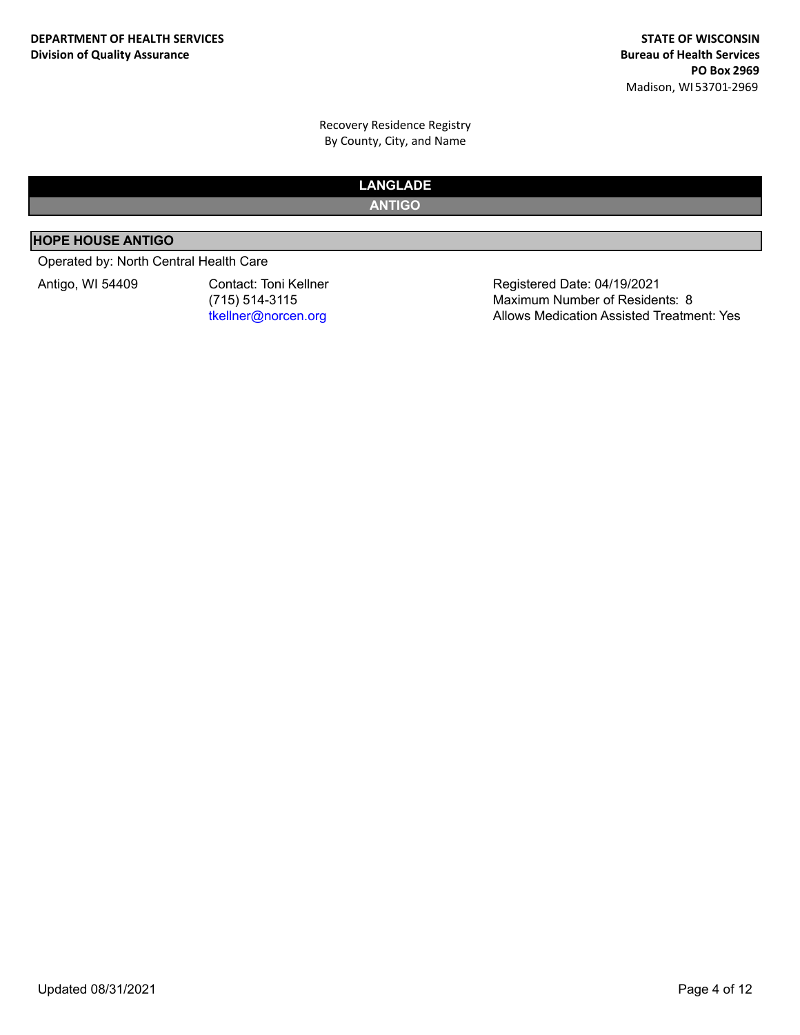# **LANGLADE**

**ANTIGO**

## **HOPE HOUSE ANTIGO**

## Operated by: North Central Health Care

Antigo, WI 54409 Contact: Toni Kellner (715) 514-3115 tkellner@norcen.org

Registered Date: 04/19/2021 Allows Medication Assisted Treatment: Yes Maximum Number of Residents: 8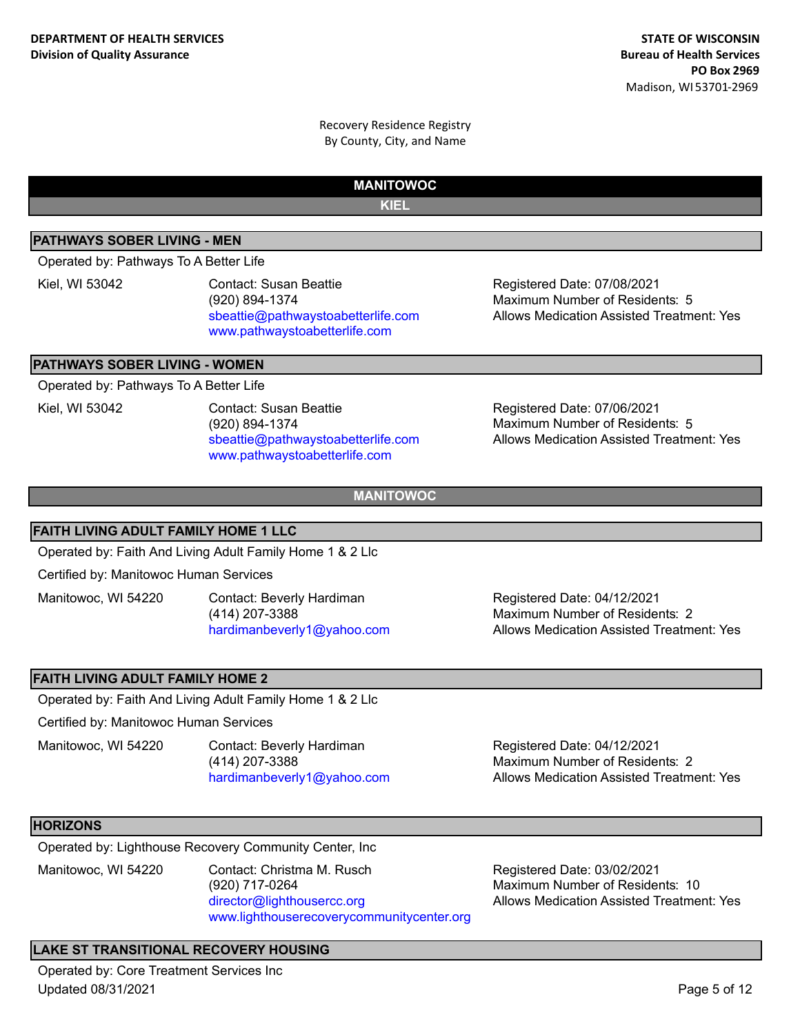**MANITOWOC**

**KIEL**

## **PATHWAYS SOBER LIVING - MEN**

Operated by: Pathways To A Better Life

Kiel, WI 53042 Contact: Susan Beattie (920) 894-1374 sbeattie@pathwaystoabetterlife.com www.pathwaystoabetterlife.com

Registered Date: 07/08/2021 Allows Medication Assisted Treatment: Yes Maximum Number of Residents: 5

## **PATHWAYS SOBER LIVING - WOMEN**

Operated by: Pathways To A Better Life

Kiel, WI 53042 Contact: Susan Beattie (920) 894-1374 sbeattie@pathwaystoabetterlife.com www.pathwaystoabetterlife.com

Registered Date: 07/06/2021 Allows Medication Assisted Treatment: Yes Maximum Number of Residents: 5

**MANITOWOC**

#### **FAITH LIVING ADULT FAMILY HOME 1 LLC**

Operated by: Faith And Living Adult Family Home 1 & 2 Llc

Certified by: Manitowoc Human Services

Manitowoc, WI 54220 Contact: Beverly Hardiman (414) 207-3388 hardimanbeverly1@yahoo.com

Registered Date: 04/12/2021 Allows Medication Assisted Treatment: Yes Maximum Number of Residents: 2

## **FAITH LIVING ADULT FAMILY HOME 2**

Operated by: Faith And Living Adult Family Home 1 & 2 Llc

Certified by: Manitowoc Human Services

Manitowoc, WI 54220 Contact: Beverly Hardiman

(414) 207-3388 hardimanbeverly1@yahoo.com

Registered Date: 04/12/2021 Allows Medication Assisted Treatment: Yes Maximum Number of Residents: 2

#### **HORIZONS**

Operated by: Lighthouse Recovery Community Center, Inc

Manitowoc, WI 54220 Contact: Christma M. Rusch (920) 717-0264 director@lighthousercc.org www.lighthouserecoverycommunitycenter.org

Registered Date: 03/02/2021 Allows Medication Assisted Treatment: Yes Maximum Number of Residents: 10

## **LAKE ST TRANSITIONAL RECOVERY HOUSING**

Operated by: Core Treatment Services Inc Updated 08/31/2021 Page 5 of 12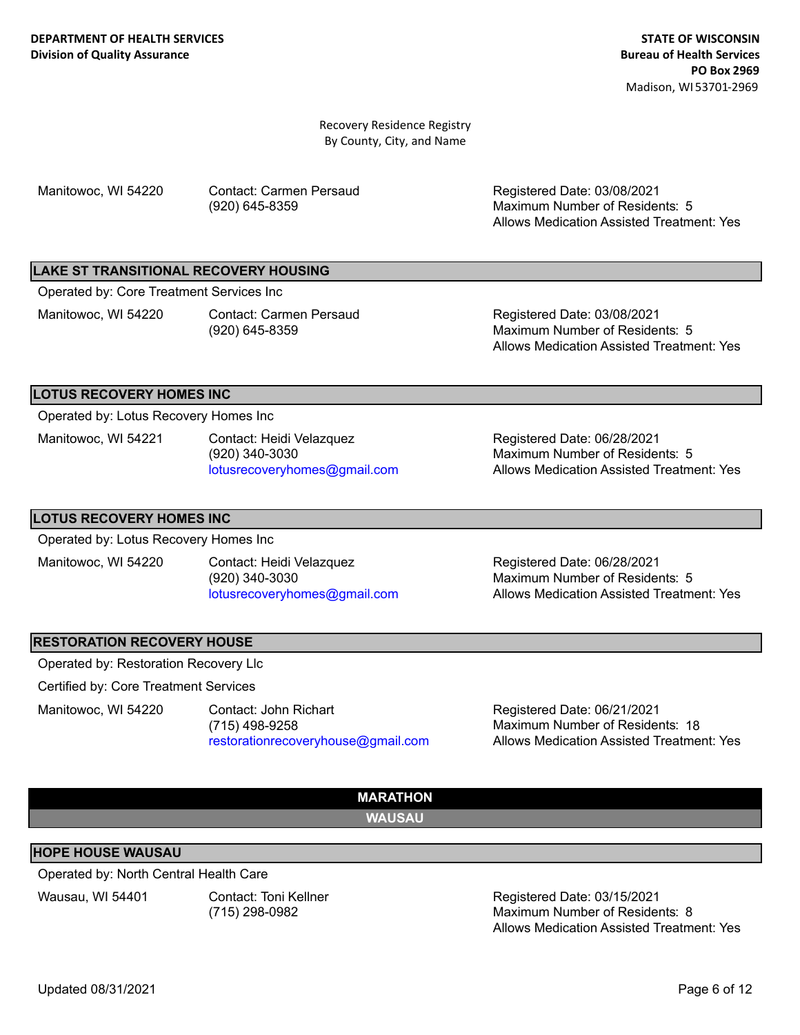Manitowoc, WI 54220 Contact: Carmen Persaud (920) 645-8359

Registered Date: 03/08/2021 Allows Medication Assisted Treatment: Yes Maximum Number of Residents: 5

#### **LAKE ST TRANSITIONAL RECOVERY HOUSING**

Operated by: Core Treatment Services Inc

Manitowoc, WI 54220 Contact: Carmen Persaud (920) 645-8359

Registered Date: 03/08/2021 Allows Medication Assisted Treatment: Yes Maximum Number of Residents: 5

#### **LOTUS RECOVERY HOMES INC**

Operated by: Lotus Recovery Homes Inc

Manitowoc, WI 54221 Contact: Heidi Velazquez (920) 340-3030 lotusrecoveryhomes@gmail.com

Registered Date: 06/28/2021 Allows Medication Assisted Treatment: Yes Maximum Number of Residents: 5

#### **LOTUS RECOVERY HOMES INC**

Operated by: Lotus Recovery Homes Inc

Manitowoc, WI 54220 Contact: Heidi Velazquez (920) 340-3030 lotusrecoveryhomes@gmail.com

Registered Date: 06/28/2021 Allows Medication Assisted Treatment: Yes Maximum Number of Residents: 5

## **RESTORATION RECOVERY HOUSE**

Operated by: Restoration Recovery Llc

Certified by: Core Treatment Services

Manitowoc, WI 54220 Contact: John Richart (715) 498-9258 restorationrecoveryhouse@gmail.com

Registered Date: 06/21/2021 Allows Medication Assisted Treatment: Yes Maximum Number of Residents: 18



#### **HOPE HOUSE WAUSAU**

Operated by: North Central Health Care

Wausau, WI 54401 Contact: Toni Kellner

(715) 298-0982

Registered Date: 03/15/2021 Allows Medication Assisted Treatment: Yes Maximum Number of Residents: 8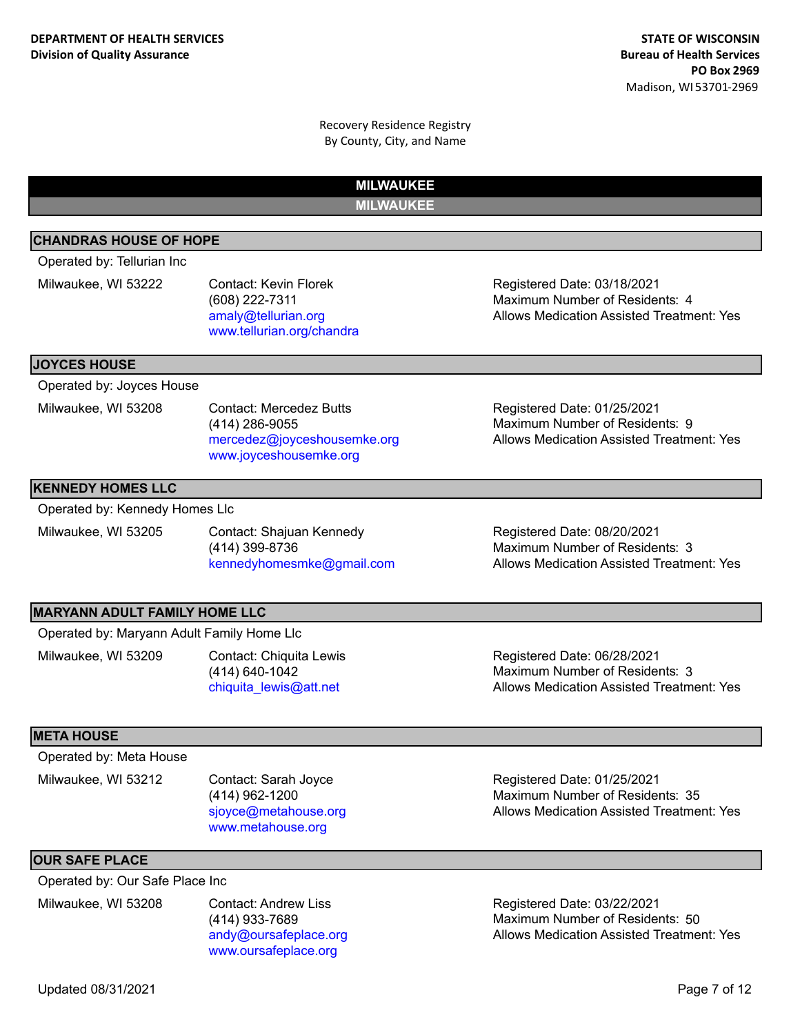**MILWAUKEE MILWAUKEE**

## **CHANDRAS HOUSE OF HOPE**

Operated by: Tellurian Inc

Milwaukee, WI 53222 Contact: Kevin Florek (608) 222-7311 amaly@tellurian.org www.tellurian.org/chandra

**JOYCES HOUSE**

Operated by: Joyces House

Milwaukee, WI 53208 Contact: Mercedez Butts (414) 286-9055 mercedez@joyceshousemke.org www.joyceshousemke.org

## **KENNEDY HOMES LLC**

Operated by: Kennedy Homes Llc

Milwaukee, WI 53205 Contact: Shajuan Kennedy (414) 399-8736 kennedyhomesmke@gmail.com Allows Medication Assisted Treatment: Yes

Registered Date: 03/18/2021

Registered Date: 01/25/2021

Maximum Number of Residents: 9

Maximum Number of Residents: 4

Registered Date: 08/20/2021

Allows Medication Assisted Treatment: Yes

Allows Medication Assisted Treatment: Yes Maximum Number of Residents: 3

## **MARYANN ADULT FAMILY HOME LLC**

Operated by: Maryann Adult Family Home Llc

Milwaukee, WI 53209 Contact: Chiquita Lewis (414) 640-1042 chiquita\_lewis@att.net

Registered Date: 06/28/2021 Allows Medication Assisted Treatment: Yes Maximum Number of Residents: 3

#### **META HOUSE**

Operated by: Meta House

Milwaukee, WI 53212 Contact: Sarah Joyce (414) 962-1200 sjoyce@metahouse.org www.metahouse.org

#### **OUR SAFE PLACE**

Operated by: Our Safe Place Inc

Milwaukee, WI 53208 Contact: Andrew Liss

(414) 933-7689 andy@oursafeplace.org www.oursafeplace.org

Registered Date: 01/25/2021 Allows Medication Assisted Treatment: Yes Maximum Number of Residents: 35

Registered Date: 03/22/2021 Allows Medication Assisted Treatment: Yes Maximum Number of Residents: 50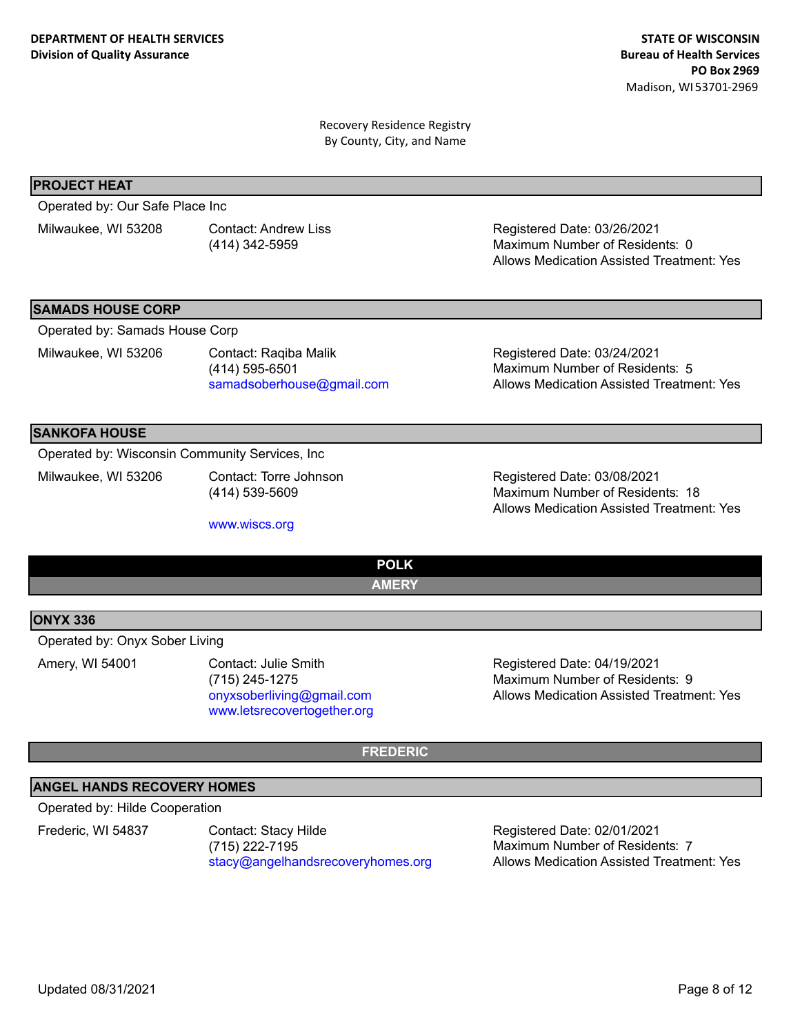#### **PROJECT HEAT**

Operated by: Our Safe Place Inc

Milwaukee, WI 53208 Contact: Andrew Liss

(414) 342-5959

Registered Date: 03/26/2021 Allows Medication Assisted Treatment: Yes Maximum Number of Residents: 0

#### **SAMADS HOUSE CORP**

Operated by: Samads House Corp

Milwaukee, WI 53206 Contact: Raqiba Malik

(414) 595-6501 samadsoberhouse@gmail.com

Registered Date: 03/24/2021 Allows Medication Assisted Treatment: Yes Maximum Number of Residents: 5

#### **SANKOFA HOUSE**

Operated by: Wisconsin Community Services, Inc

Milwaukee, WI 53206 Contact: Torre Johnson (414) 539-5609

www.wiscs.org

Registered Date: 03/08/2021 Allows Medication Assisted Treatment: Yes Maximum Number of Residents: 18

## **POLK AMERY**

#### **ONYX 336**

Operated by: Onyx Sober Living

Amery, WI 54001 Contact: Julie Smith (715) 245-1275 onyxsoberliving@gmail.com www.letsrecovertogether.org

Registered Date: 04/19/2021 Allows Medication Assisted Treatment: Yes Maximum Number of Residents: 9

## **FREDERIC**

## **ANGEL HANDS RECOVERY HOMES**

#### Operated by: Hilde Cooperation

Frederic, WI 54837 Contact: Stacy Hilde (715) 222-7195 stacy@angelhandsrecoveryhomes.org

Registered Date: 02/01/2021 Allows Medication Assisted Treatment: Yes Maximum Number of Residents: 7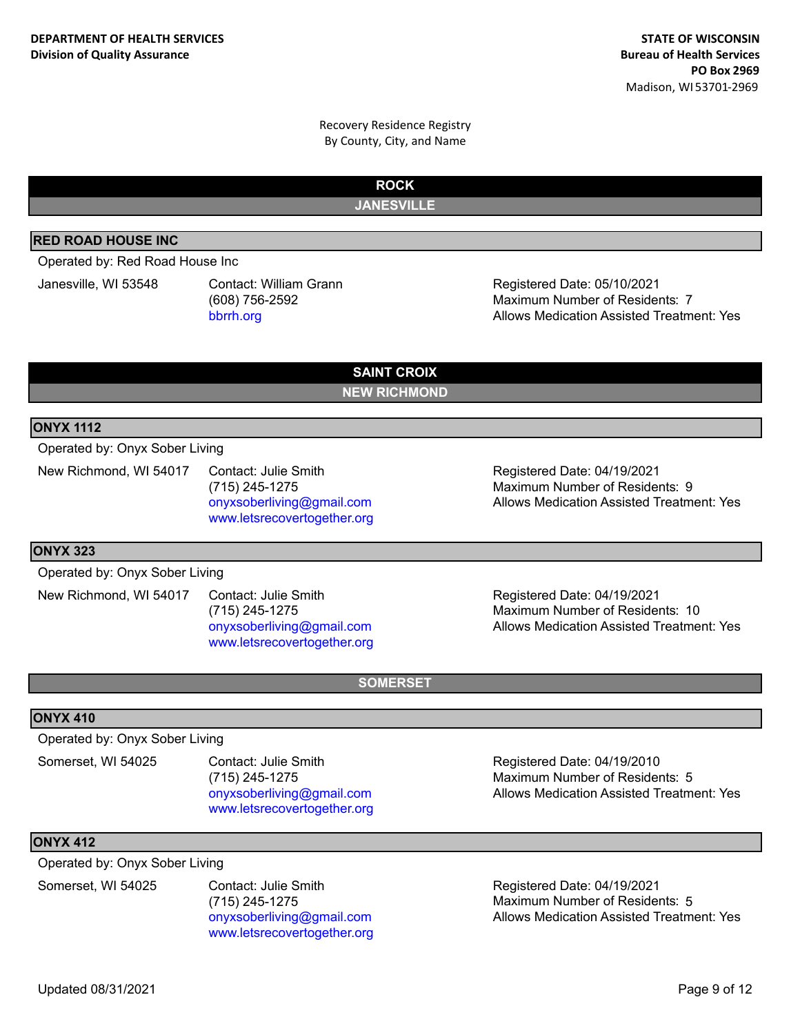> **ROCK JANESVILLE**

## **RED ROAD HOUSE INC**

Operated by: Red Road House Inc

Janesville, WI 53548 Contact: William Grann (608) 756-2592 bbrrh.org

Registered Date: 05/10/2021 Allows Medication Assisted Treatment: Yes Maximum Number of Residents: 7

**SAINT CROIX NEW RICHMOND**

#### **ONYX 1112**

Operated by: Onyx Sober Living

New Richmond, WI 54017 Contact: Julie Smith (715) 245-1275 onyxsoberliving@gmail.com www.letsrecovertogether.org

Registered Date: 04/19/2021 Allows Medication Assisted Treatment: Yes Maximum Number of Residents: 9

#### **ONYX 323**

Operated by: Onyx Sober Living

New Richmond, WI 54017 Contact: Julie Smith (715) 245-1275 onyxsoberliving@gmail.com www.letsrecovertogether.org

Registered Date: 04/19/2021 Allows Medication Assisted Treatment: Yes Maximum Number of Residents: 10

**SOMERSET**

#### **ONYX 410**

Operated by: Onyx Sober Living

Somerset, WI 54025 Contact: Julie Smith (715) 245-1275 onyxsoberliving@gmail.com www.letsrecovertogether.org

**ONYX 412**

Operated by: Onyx Sober Living

Somerset, WI 54025 Contact: Julie Smith (715) 245-1275 onyxsoberliving@gmail.com www.letsrecovertogether.org

Registered Date: 04/19/2010 Allows Medication Assisted Treatment: Yes Maximum Number of Residents: 5

Registered Date: 04/19/2021 Allows Medication Assisted Treatment: Yes Maximum Number of Residents: 5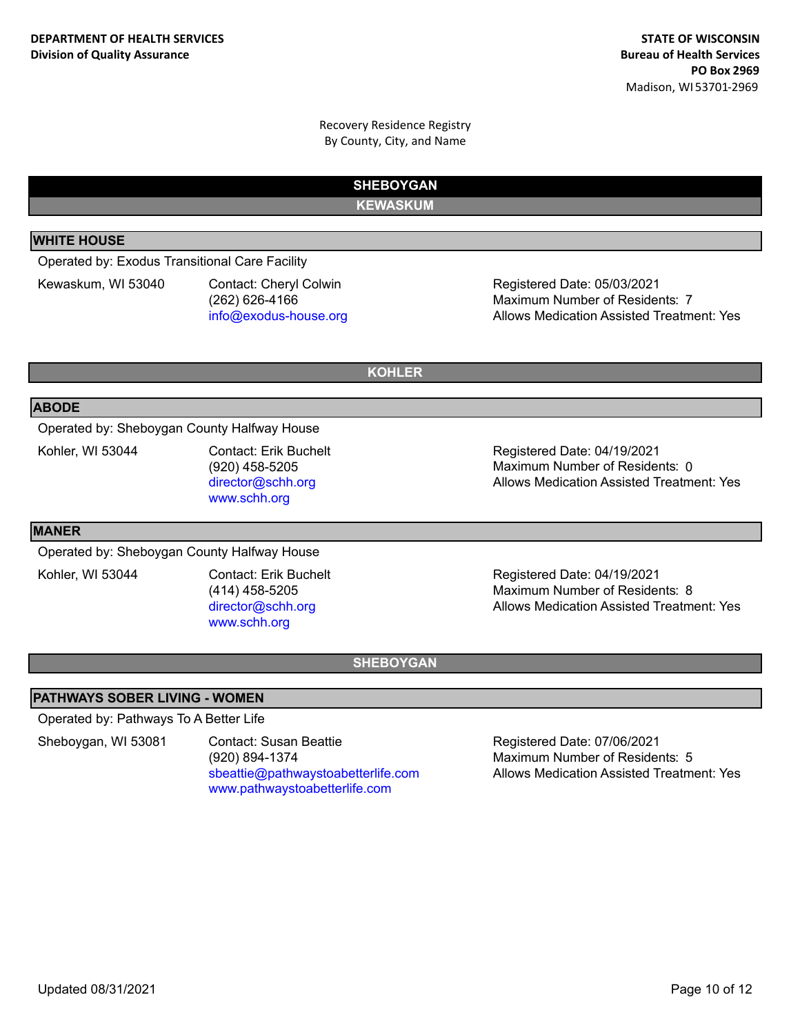> **SHEBOYGAN KEWASKUM**

## **WHITE HOUSE**

Operated by: Exodus Transitional Care Facility

Kewaskum, WI 53040 Contact: Cheryl Colwin (262) 626-4166 info@exodus-house.org

Registered Date: 05/03/2021 Allows Medication Assisted Treatment: Yes Maximum Number of Residents: 7

**KOHLER**

#### **ABODE**

Operated by: Sheboygan County Halfway House

Kohler, WI 53044 Contact: Erik Buchelt (920) 458-5205 director@schh.org www.schh.org

Registered Date: 04/19/2021 Allows Medication Assisted Treatment: Yes Maximum Number of Residents: 0

#### **MANER**

Operated by: Sheboygan County Halfway House

Kohler, WI 53044 Contact: Erik Buchelt (414) 458-5205 director@schh.org www.schh.org

Registered Date: 04/19/2021 Allows Medication Assisted Treatment: Yes Maximum Number of Residents: 8

## **SHEBOYGAN**

## **PATHWAYS SOBER LIVING - WOMEN**

Operated by: Pathways To A Better Life

Sheboygan, WI 53081 Contact: Susan Beattie (920) 894-1374 sbeattie@pathwaystoabetterlife.com www.pathwaystoabetterlife.com

Registered Date: 07/06/2021 Allows Medication Assisted Treatment: Yes Maximum Number of Residents: 5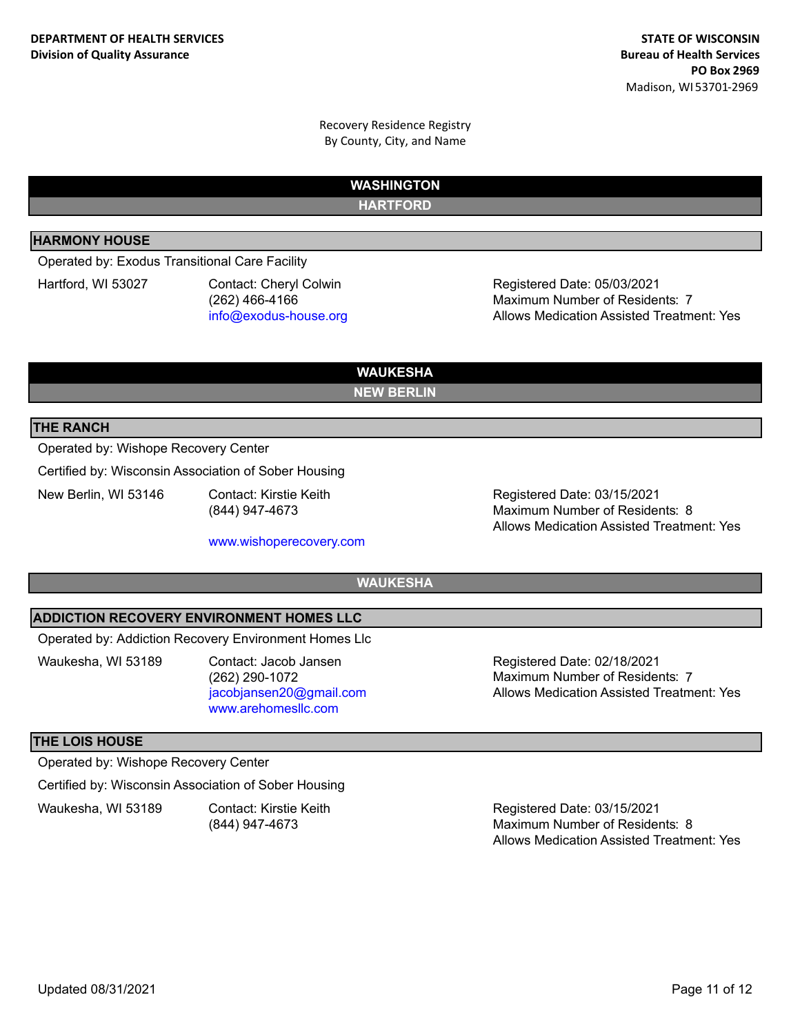> **WASHINGTON HARTFORD**

## **HARMONY HOUSE**

Operated by: Exodus Transitional Care Facility

Hartford, WI 53027 Contact: Cheryl Colwin (262) 466-4166 info@exodus-house.org

Registered Date: 05/03/2021 Allows Medication Assisted Treatment: Yes Maximum Number of Residents: 7

**WAUKESHA NEW BERLIN**

## **THE RANCH**

#### Operated by: Wishope Recovery Center

Certified by: Wisconsin Association of Sober Housing

New Berlin, WI 53146 Contact: Kirstie Keith

(844) 947-4673

www.wishoperecovery.com

Registered Date: 03/15/2021 Allows Medication Assisted Treatment: Yes Maximum Number of Residents: 8

**WAUKESHA**

#### **ADDICTION RECOVERY ENVIRONMENT HOMES LLC**

Operated by: Addiction Recovery Environment Homes Llc

Waukesha, WI 53189 Contact: Jacob Jansen

(262) 290-1072 jacobjansen20@gmail.com www.arehomesllc.com

Registered Date: 02/18/2021 Allows Medication Assisted Treatment: Yes Maximum Number of Residents: 7

#### **THE LOIS HOUSE**

Operated by: Wishope Recovery Center

Certified by: Wisconsin Association of Sober Housing

Waukesha, WI 53189 Contact: Kirstie Keith (844) 947-4673

Registered Date: 03/15/2021 Allows Medication Assisted Treatment: Yes Maximum Number of Residents: 8